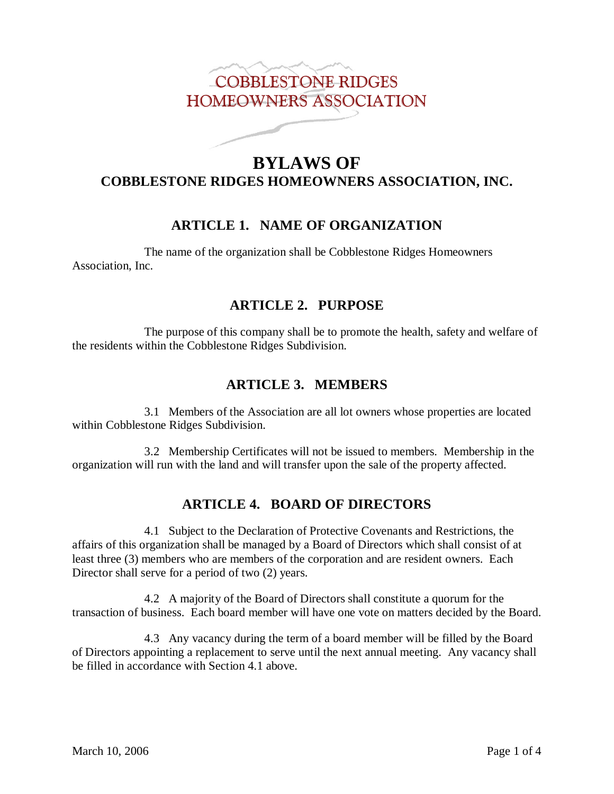# COBBLESTONE RIDGES HOMEOWNERS ASSOCIATION

# **BYLAWS OF COBBLESTONE RIDGES HOMEOWNERS ASSOCIATION, INC.**

# **ARTICLE 1. NAME OF ORGANIZATION**

The name of the organization shall be Cobblestone Ridges Homeowners Association, Inc.

## **ARTICLE 2. PURPOSE**

The purpose of this company shall be to promote the health, safety and welfare of the residents within the Cobblestone Ridges Subdivision.

# **ARTICLE 3. MEMBERS**

3.1 Members of the Association are all lot owners whose properties are located within Cobblestone Ridges Subdivision.

3.2 Membership Certificates will not be issued to members. Membership in the organization will run with the land and will transfer upon the sale of the property affected.

# **ARTICLE 4. BOARD OF DIRECTORS**

4.1 Subject to the Declaration of Protective Covenants and Restrictions, the affairs of this organization shall be managed by a Board of Directors which shall consist of at least three (3) members who are members of the corporation and are resident owners. Each Director shall serve for a period of two (2) years.

4.2 A majority of the Board of Directors shall constitute a quorum for the transaction of business. Each board member will have one vote on matters decided by the Board.

4.3 Any vacancy during the term of a board member will be filled by the Board of Directors appointing a replacement to serve until the next annual meeting. Any vacancy shall be filled in accordance with Section 4.1 above.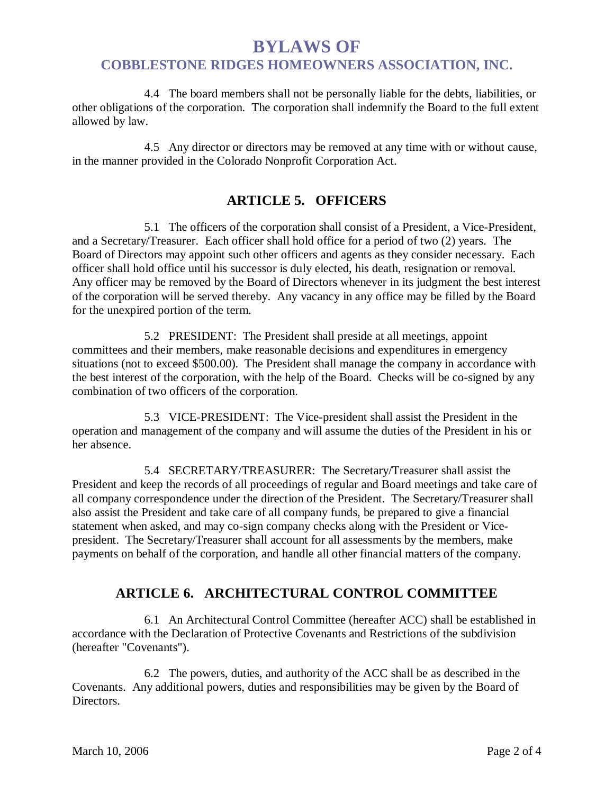# **BYLAWS OF COBBLESTONE RIDGES HOMEOWNERS ASSOCIATION, INC.**

4.4 The board members shall not be personally liable for the debts, liabilities, or other obligations of the corporation. The corporation shall indemnify the Board to the full extent allowed by law.

4.5 Any director or directors may be removed at any time with or without cause, in the manner provided in the Colorado Nonprofit Corporation Act.

## **ARTICLE 5. OFFICERS**

5.1 The officers of the corporation shall consist of a President, a Vice-President, and a Secretary/Treasurer. Each officer shall hold office for a period of two (2) years. The Board of Directors may appoint such other officers and agents as they consider necessary. Each officer shall hold office until his successor is duly elected, his death, resignation or removal. Any officer may be removed by the Board of Directors whenever in its judgment the best interest of the corporation will be served thereby. Any vacancy in any office may be filled by the Board for the unexpired portion of the term.

5.2 PRESIDENT: The President shall preside at all meetings, appoint committees and their members, make reasonable decisions and expenditures in emergency situations (not to exceed \$500.00). The President shall manage the company in accordance with the best interest of the corporation, with the help of the Board. Checks will be co-signed by any combination of two officers of the corporation.

5.3 VICE-PRESIDENT: The Vice-president shall assist the President in the operation and management of the company and will assume the duties of the President in his or her absence.

5.4 SECRETARY/TREASURER: The Secretary/Treasurer shall assist the President and keep the records of all proceedings of regular and Board meetings and take care of all company correspondence under the direction of the President. The Secretary/Treasurer shall also assist the President and take care of all company funds, be prepared to give a financial statement when asked, and may co-sign company checks along with the President or Vicepresident. The Secretary/Treasurer shall account for all assessments by the members, make payments on behalf of the corporation, and handle all other financial matters of the company.

# **ARTICLE 6. ARCHITECTURAL CONTROL COMMITTEE**

6.1 An Architectural Control Committee (hereafter ACC) shall be established in accordance with the Declaration of Protective Covenants and Restrictions of the subdivision (hereafter "Covenants").

6.2 The powers, duties, and authority of the ACC shall be as described in the Covenants. Any additional powers, duties and responsibilities may be given by the Board of Directors.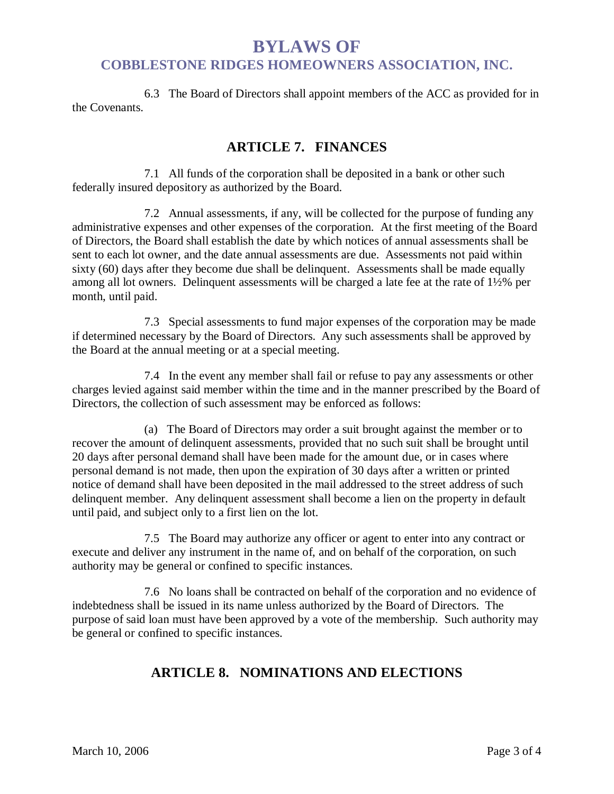# **BYLAWS OF COBBLESTONE RIDGES HOMEOWNERS ASSOCIATION, INC.**

6.3 The Board of Directors shall appoint members of the ACC as provided for in the Covenants.

## **ARTICLE 7. FINANCES**

7.1 All funds of the corporation shall be deposited in a bank or other such federally insured depository as authorized by the Board.

7.2 Annual assessments, if any, will be collected for the purpose of funding any administrative expenses and other expenses of the corporation. At the first meeting of the Board of Directors, the Board shall establish the date by which notices of annual assessments shall be sent to each lot owner, and the date annual assessments are due. Assessments not paid within sixty (60) days after they become due shall be delinquent. Assessments shall be made equally among all lot owners. Delinquent assessments will be charged a late fee at the rate of 1½% per month, until paid.

7.3 Special assessments to fund major expenses of the corporation may be made if determined necessary by the Board of Directors. Any such assessments shall be approved by the Board at the annual meeting or at a special meeting.

7.4 In the event any member shall fail or refuse to pay any assessments or other charges levied against said member within the time and in the manner prescribed by the Board of Directors, the collection of such assessment may be enforced as follows:

(a) The Board of Directors may order a suit brought against the member or to recover the amount of delinquent assessments, provided that no such suit shall be brought until 20 days after personal demand shall have been made for the amount due, or in cases where personal demand is not made, then upon the expiration of 30 days after a written or printed notice of demand shall have been deposited in the mail addressed to the street address of such delinquent member. Any delinquent assessment shall become a lien on the property in default until paid, and subject only to a first lien on the lot.

7.5 The Board may authorize any officer or agent to enter into any contract or execute and deliver any instrument in the name of, and on behalf of the corporation, on such authority may be general or confined to specific instances.

7.6 No loans shall be contracted on behalf of the corporation and no evidence of indebtedness shall be issued in its name unless authorized by the Board of Directors. The purpose of said loan must have been approved by a vote of the membership. Such authority may be general or confined to specific instances.

# **ARTICLE 8. NOMINATIONS AND ELECTIONS**